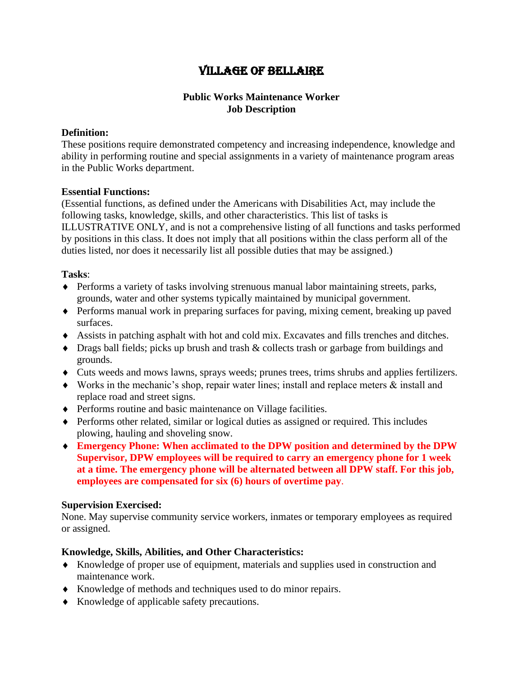# Village of Bellaire

## **Public Works Maintenance Worker Job Description**

#### **Definition:**

These positions require demonstrated competency and increasing independence, knowledge and ability in performing routine and special assignments in a variety of maintenance program areas in the Public Works department.

#### **Essential Functions:**

(Essential functions, as defined under the Americans with Disabilities Act, may include the following tasks, knowledge, skills, and other characteristics. This list of tasks is ILLUSTRATIVE ONLY, and is not a comprehensive listing of all functions and tasks performed by positions in this class. It does not imply that all positions within the class perform all of the duties listed, nor does it necessarily list all possible duties that may be assigned.)

#### **Tasks**:

- Performs a variety of tasks involving strenuous manual labor maintaining streets, parks, grounds, water and other systems typically maintained by municipal government.
- Performs manual work in preparing surfaces for paving, mixing cement, breaking up paved surfaces.
- Assists in patching asphalt with hot and cold mix. Excavates and fills trenches and ditches.
- Drags ball fields; picks up brush and trash & collects trash or garbage from buildings and grounds.
- Cuts weeds and mows lawns, sprays weeds; prunes trees, trims shrubs and applies fertilizers.
- Works in the mechanic's shop, repair water lines; install and replace meters & install and replace road and street signs.
- Performs routine and basic maintenance on Village facilities.
- Performs other related, similar or logical duties as assigned or required. This includes plowing, hauling and shoveling snow.
- **Emergency Phone: When acclimated to the DPW position and determined by the DPW Supervisor, DPW employees will be required to carry an emergency phone for 1 week at a time. The emergency phone will be alternated between all DPW staff. For this job, employees are compensated for six (6) hours of overtime pay**.

#### **Supervision Exercised:**

None. May supervise community service workers, inmates or temporary employees as required or assigned.

## **Knowledge, Skills, Abilities, and Other Characteristics:**

- Knowledge of proper use of equipment, materials and supplies used in construction and maintenance work.
- Knowledge of methods and techniques used to do minor repairs.
- Knowledge of applicable safety precautions.